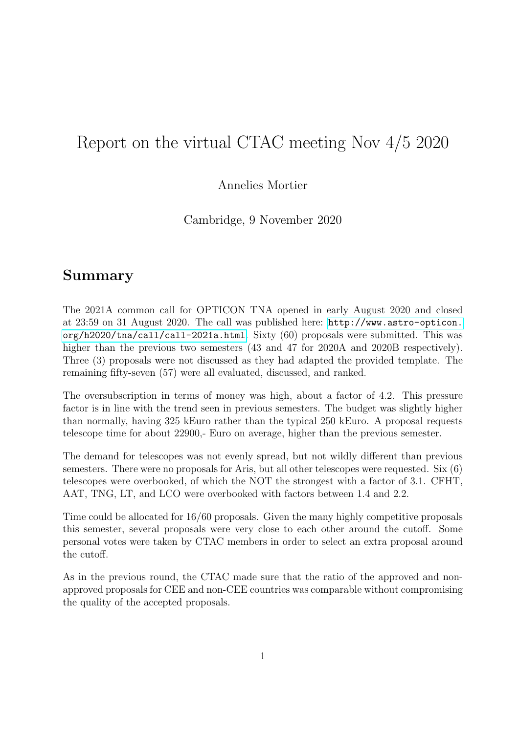# Report on the virtual CTAC meeting Nov 4/5 2020

#### Annelies Mortier

Cambridge, 9 November 2020

## Summary

The 2021A common call for OPTICON TNA opened in early August 2020 and closed at 23:59 on 31 August 2020. The call was published here: [http://www.astro-opticon.](http://www.astro-opticon.org/h2020/tna/call/call-2021a.html) [org/h2020/tna/call/call-2021a.html](http://www.astro-opticon.org/h2020/tna/call/call-2021a.html). Sixty (60) proposals were submitted. This was higher than the previous two semesters  $(43 \text{ and } 47 \text{ for } 2020\text{A and } 2020\text{B respectively}).$ Three (3) proposals were not discussed as they had adapted the provided template. The remaining fifty-seven (57) were all evaluated, discussed, and ranked.

The oversubscription in terms of money was high, about a factor of 4.2. This pressure factor is in line with the trend seen in previous semesters. The budget was slightly higher than normally, having 325 kEuro rather than the typical 250 kEuro. A proposal requests telescope time for about 22900,- Euro on average, higher than the previous semester.

The demand for telescopes was not evenly spread, but not wildly different than previous semesters. There were no proposals for Aris, but all other telescopes were requested. Six (6) telescopes were overbooked, of which the NOT the strongest with a factor of 3.1. CFHT, AAT, TNG, LT, and LCO were overbooked with factors between 1.4 and 2.2.

Time could be allocated for 16/60 proposals. Given the many highly competitive proposals this semester, several proposals were very close to each other around the cutoff. Some personal votes were taken by CTAC members in order to select an extra proposal around the cutoff.

As in the previous round, the CTAC made sure that the ratio of the approved and nonapproved proposals for CEE and non-CEE countries was comparable without compromising the quality of the accepted proposals.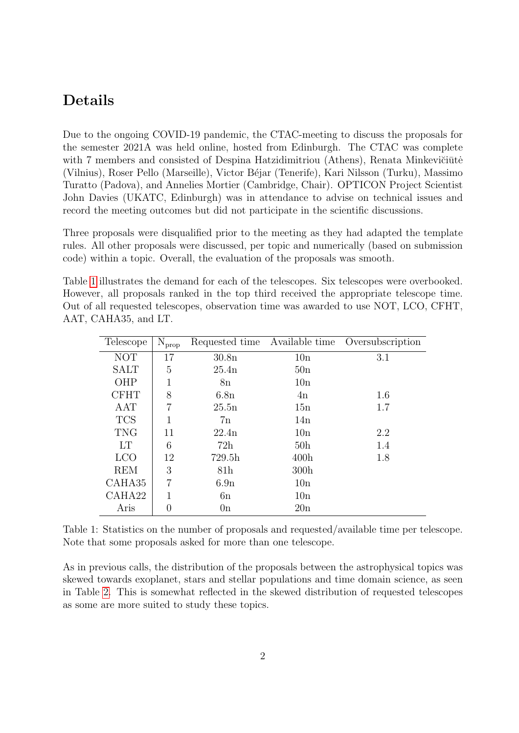### Details

Due to the ongoing COVID-19 pandemic, the CTAC-meeting to discuss the proposals for the semester 2021A was held online, hosted from Edinburgh. The CTAC was complete with 7 members and consisted of Despina Hatzidimitriou (Athens), Renata Minkevičiūtė (Vilnius), Roser Pello (Marseille), Victor B´ejar (Tenerife), Kari Nilsson (Turku), Massimo Turatto (Padova), and Annelies Mortier (Cambridge, Chair). OPTICON Project Scientist John Davies (UKATC, Edinburgh) was in attendance to advise on technical issues and record the meeting outcomes but did not participate in the scientific discussions.

Three proposals were disqualified prior to the meeting as they had adapted the template rules. All other proposals were discussed, per topic and numerically (based on submission code) within a topic. Overall, the evaluation of the proposals was smooth.

Table [1](#page-1-0) illustrates the demand for each of the telescopes. Six telescopes were overbooked. However, all proposals ranked in the top third received the appropriate telescope time. Out of all requested telescopes, observation time was awarded to use NOT, LCO, CFHT, AAT, CAHA35, and LT.

| Telescope   | $N_{prop}$     | Requested time Available time |                 | Oversubscription |
|-------------|----------------|-------------------------------|-----------------|------------------|
| <b>NOT</b>  | 17             | 30.8 <sub>n</sub>             | 10n             | 3.1              |
| <b>SALT</b> | 5              | 25.4n                         | 50n             |                  |
| OHP         |                | 8n                            | 10n             |                  |
| <b>CFHT</b> | 8              | 6.8n                          | 4n              | 1.6              |
| AAT         | 7              | 25.5n                         | 15n             | 1.7              |
| <b>TCS</b>  | 1              | 7n                            | 14n             |                  |
| <b>TNG</b>  | 11             | 22.4n                         | 10n             | 2.2              |
| <b>LT</b>   | 6              | 72h                           | 50 <sub>h</sub> | 1.4              |
| <b>LCO</b>  | 12             | 729.5h                        | 400h            | 1.8              |
| <b>REM</b>  | 3              | 81 <sub>h</sub>               | 300h            |                  |
| CAHA35      | $\overline{7}$ | 6.9n                          | 10n             |                  |
| CAHA22      |                | 6n                            | 10n             |                  |
| Aris        | $\theta$       | 0n                            | 20n             |                  |

<span id="page-1-0"></span>Table 1: Statistics on the number of proposals and requested/available time per telescope. Note that some proposals asked for more than one telescope.

As in previous calls, the distribution of the proposals between the astrophysical topics was skewed towards exoplanet, stars and stellar populations and time domain science, as seen in Table [2.](#page-2-0) This is somewhat reflected in the skewed distribution of requested telescopes as some are more suited to study these topics.